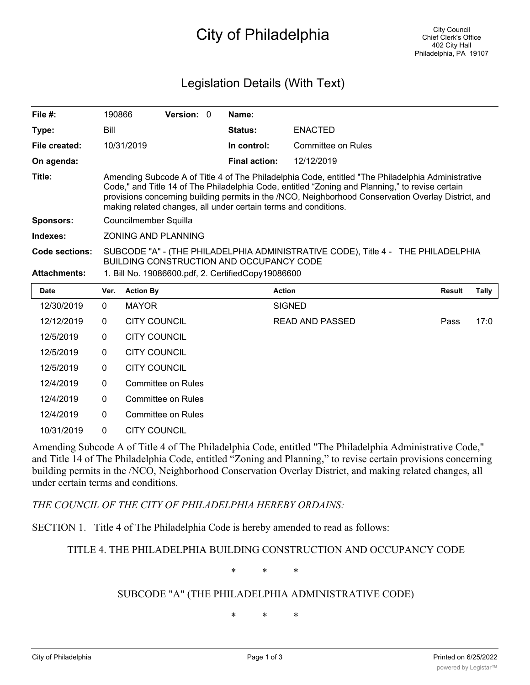# City of Philadelphia

## Legislation Details (With Text)

| File $#$ :            | 190866                                                                                                                                                                                                                                                                                                                                                                         |                     | Version: 0                |  | Name:                                              |                        |               |              |
|-----------------------|--------------------------------------------------------------------------------------------------------------------------------------------------------------------------------------------------------------------------------------------------------------------------------------------------------------------------------------------------------------------------------|---------------------|---------------------------|--|----------------------------------------------------|------------------------|---------------|--------------|
| Type:                 | Bill                                                                                                                                                                                                                                                                                                                                                                           |                     |                           |  | Status:                                            | <b>ENACTED</b>         |               |              |
| File created:         |                                                                                                                                                                                                                                                                                                                                                                                | 10/31/2019          |                           |  | In control:                                        | Committee on Rules     |               |              |
| On agenda:            |                                                                                                                                                                                                                                                                                                                                                                                |                     |                           |  | <b>Final action:</b>                               | 12/12/2019             |               |              |
| Title:                | Amending Subcode A of Title 4 of The Philadelphia Code, entitled "The Philadelphia Administrative<br>Code," and Title 14 of The Philadelphia Code, entitled "Zoning and Planning," to revise certain<br>provisions concerning building permits in the /NCO, Neighborhood Conservation Overlay District, and<br>making related changes, all under certain terms and conditions. |                     |                           |  |                                                    |                        |               |              |
| <b>Sponsors:</b>      | Councilmember Squilla                                                                                                                                                                                                                                                                                                                                                          |                     |                           |  |                                                    |                        |               |              |
| Indexes:              | <b>ZONING AND PLANNING</b>                                                                                                                                                                                                                                                                                                                                                     |                     |                           |  |                                                    |                        |               |              |
| <b>Code sections:</b> | SUBCODE "A" - (THE PHILADELPHIA ADMINISTRATIVE CODE), Title 4 - THE PHILADELPHIA<br>BUILDING CONSTRUCTION AND OCCUPANCY CODE                                                                                                                                                                                                                                                   |                     |                           |  |                                                    |                        |               |              |
| <b>Attachments:</b>   |                                                                                                                                                                                                                                                                                                                                                                                |                     |                           |  | 1. Bill No. 19086600.pdf, 2. CertifiedCopy19086600 |                        |               |              |
| <b>Date</b>           | Ver.                                                                                                                                                                                                                                                                                                                                                                           | <b>Action By</b>    |                           |  |                                                    | <b>Action</b>          | <b>Result</b> | <b>Tally</b> |
| 12/30/2019            | $\Omega$                                                                                                                                                                                                                                                                                                                                                                       | <b>MAYOR</b>        |                           |  |                                                    | <b>SIGNED</b>          |               |              |
| 12/12/2019            | $\mathbf{0}$                                                                                                                                                                                                                                                                                                                                                                   | <b>CITY COUNCIL</b> |                           |  |                                                    | <b>READ AND PASSED</b> | Pass          | 17:0         |
| 12/5/2019             | 0                                                                                                                                                                                                                                                                                                                                                                              | <b>CITY COUNCIL</b> |                           |  |                                                    |                        |               |              |
| 12/5/2019             | $\mathbf{0}$                                                                                                                                                                                                                                                                                                                                                                   | <b>CITY COUNCIL</b> |                           |  |                                                    |                        |               |              |
| 12/5/2019             | 0                                                                                                                                                                                                                                                                                                                                                                              | <b>CITY COUNCIL</b> |                           |  |                                                    |                        |               |              |
| 12/4/2019             | 0                                                                                                                                                                                                                                                                                                                                                                              |                     | <b>Committee on Rules</b> |  |                                                    |                        |               |              |
| 12/4/2019             | 0                                                                                                                                                                                                                                                                                                                                                                              |                     | <b>Committee on Rules</b> |  |                                                    |                        |               |              |
| 12/4/2019             | $\mathbf{0}$                                                                                                                                                                                                                                                                                                                                                                   |                     | <b>Committee on Rules</b> |  |                                                    |                        |               |              |
| 10/31/2019            | $\mathbf{0}$                                                                                                                                                                                                                                                                                                                                                                   | <b>CITY COUNCIL</b> |                           |  |                                                    |                        |               |              |

Amending Subcode A of Title 4 of The Philadelphia Code, entitled "The Philadelphia Administrative Code," and Title 14 of The Philadelphia Code, entitled "Zoning and Planning," to revise certain provisions concerning building permits in the /NCO, Neighborhood Conservation Overlay District, and making related changes, all under certain terms and conditions.

*THE COUNCIL OF THE CITY OF PHILADELPHIA HEREBY ORDAINS:*

SECTION 1. Title 4 of The Philadelphia Code is hereby amended to read as follows:

TITLE 4. THE PHILADELPHIA BUILDING CONSTRUCTION AND OCCUPANCY CODE

\* \* \*

#### SUBCODE "A" (THE PHILADELPHIA ADMINISTRATIVE CODE)

\* \* \*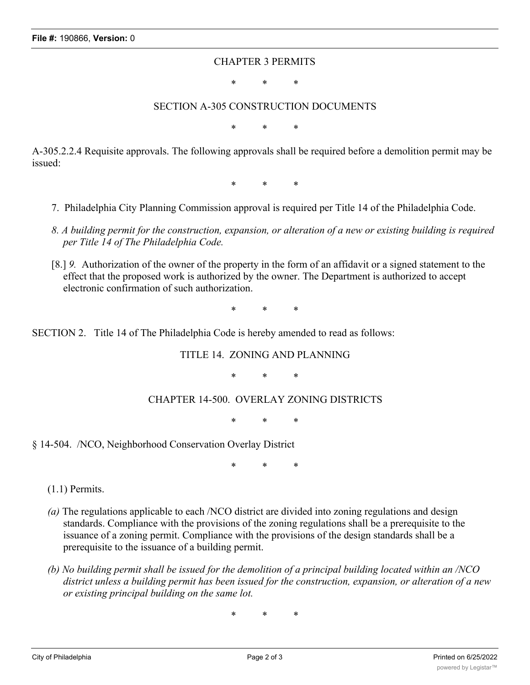#### CHAPTER 3 PERMITS

\* \* \*

#### SECTION A-305 CONSTRUCTION DOCUMENTS

\* \* \*

A-305.2.2.4 Requisite approvals. The following approvals shall be required before a demolition permit may be issued:

\* \* \*

- 7. Philadelphia City Planning Commission approval is required per Title 14 of the Philadelphia Code.
- *8. A building permit for the construction, expansion, or alteration of a new or existing building is required per Title 14 of The Philadelphia Code.*
- [8.] *9.* Authorization of the owner of the property in the form of an affidavit or a signed statement to the effect that the proposed work is authorized by the owner. The Department is authorized to accept electronic confirmation of such authorization.

\* \* \*

SECTION 2. Title 14 of The Philadelphia Code is hereby amended to read as follows:

TITLE 14. ZONING AND PLANNING

\* \* \*

CHAPTER 14-500. OVERLAY ZONING DISTRICTS

\* \* \*

§ 14-504. /NCO, Neighborhood Conservation Overlay District

\* \* \*

(1.1) Permits.

- *(a)* The regulations applicable to each /NCO district are divided into zoning regulations and design standards. Compliance with the provisions of the zoning regulations shall be a prerequisite to the issuance of a zoning permit. Compliance with the provisions of the design standards shall be a prerequisite to the issuance of a building permit.
- *(b) No building permit shall be issued for the demolition of a principal building located within an /NCO district unless a building permit has been issued for the construction, expansion, or alteration of a new or existing principal building on the same lot.*

\* \* \*